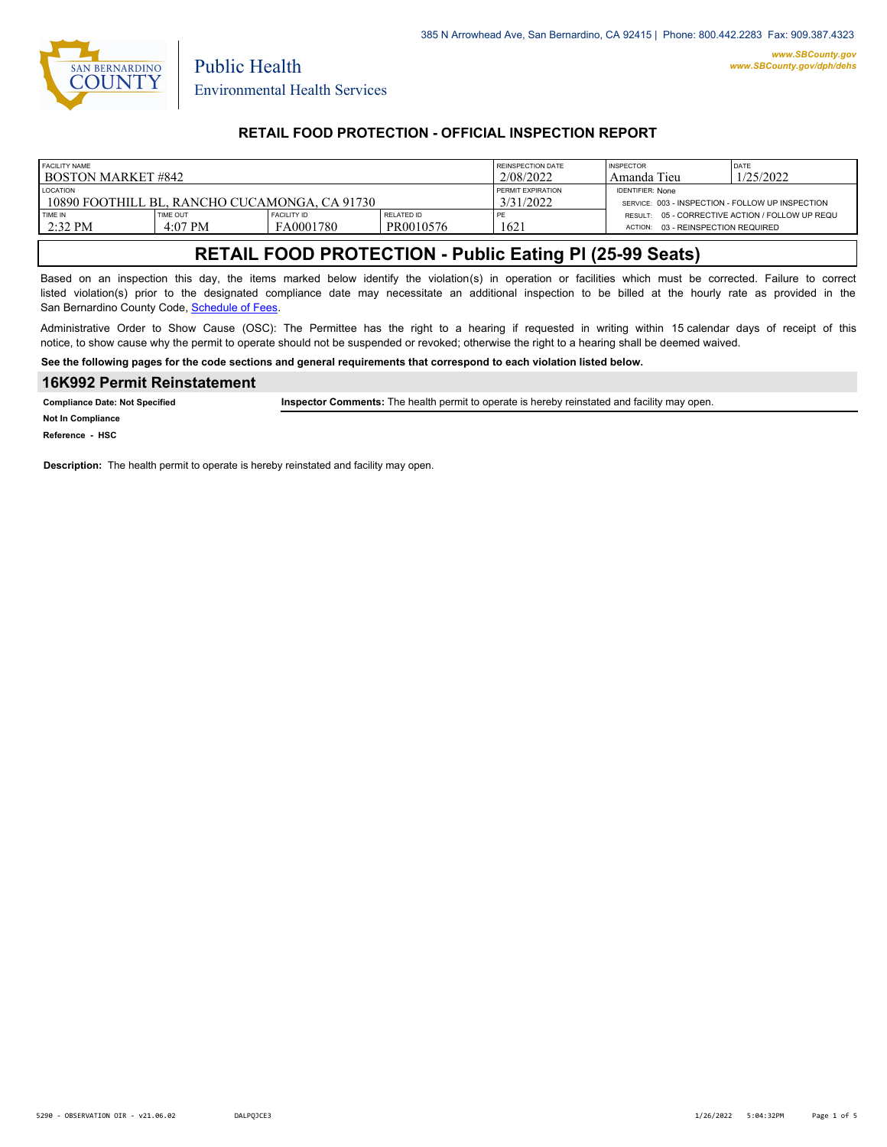

Public Health

# **RETAIL FOOD PROTECTION - OFFICIAL INSPECTION REPORT**

| FACILITY NAME<br>I BOSTON MARKET #842                            |                            |                                 |                                       | REINSPECTION DATE<br>2/08/2022                                              | <b>INSPECTOR</b><br>Tieu<br>Amanda                                                       | DATE<br>1/25/2022 |
|------------------------------------------------------------------|----------------------------|---------------------------------|---------------------------------------|-----------------------------------------------------------------------------|------------------------------------------------------------------------------------------|-------------------|
| <b>LOCATION</b><br>10890 FOOTHILL BL. RANCHO CUCAMONGA. CA 91730 |                            |                                 | <b>PERMIT EXPIRATION</b><br>3/31/2022 | <b>IDENTIFIER: None</b><br>SERVICE: 003 - INSPECTION - FOLLOW UP INSPECTION |                                                                                          |                   |
| <b>TIME IN</b><br>$2:32$ PM                                      | <b>TIME OUT</b><br>4:07 PM | <b>FACILITY ID</b><br>FA0001780 | RELATED ID<br>PR0010576               | PE<br>$162^{\circ}$                                                         | RESULT: 05 - CORRECTIVE ACTION / FOLLOW UP REQU<br>03 - REINSPECTION REQUIRED<br>ACTION: |                   |

# **RETAIL FOOD PROTECTION - Public Eating Pl (25-99 Seats)**

Based on an inspection this day, the items marked below identify the violation(s) in operation or facilities which must be corrected. Failure to correct listed violation(s) prior to the designated compliance date may necessitate an additional inspection to be billed at the hourly rate as provided in the San Bernardino County Code, Schedule of Fees

Administrative Order to Show Cause (OSC): The Permittee has the right to a hearing if requested in writing within 15 calendar days of receipt of this notice, to show cause why the permit to operate should not be suspended or revoked; otherwise the right to a hearing shall be deemed waived.

**See the following pages for the code sections and general requirements that correspond to each violation listed below.**

#### **16K992 Permit Reinstatement**

**Compliance Date: Not Specified Inspector Comments:** The health permit to operate is hereby reinstated and facility may open.

**Not In Compliance**

**Reference - HSC**

**Description:** The health permit to operate is hereby reinstated and facility may open.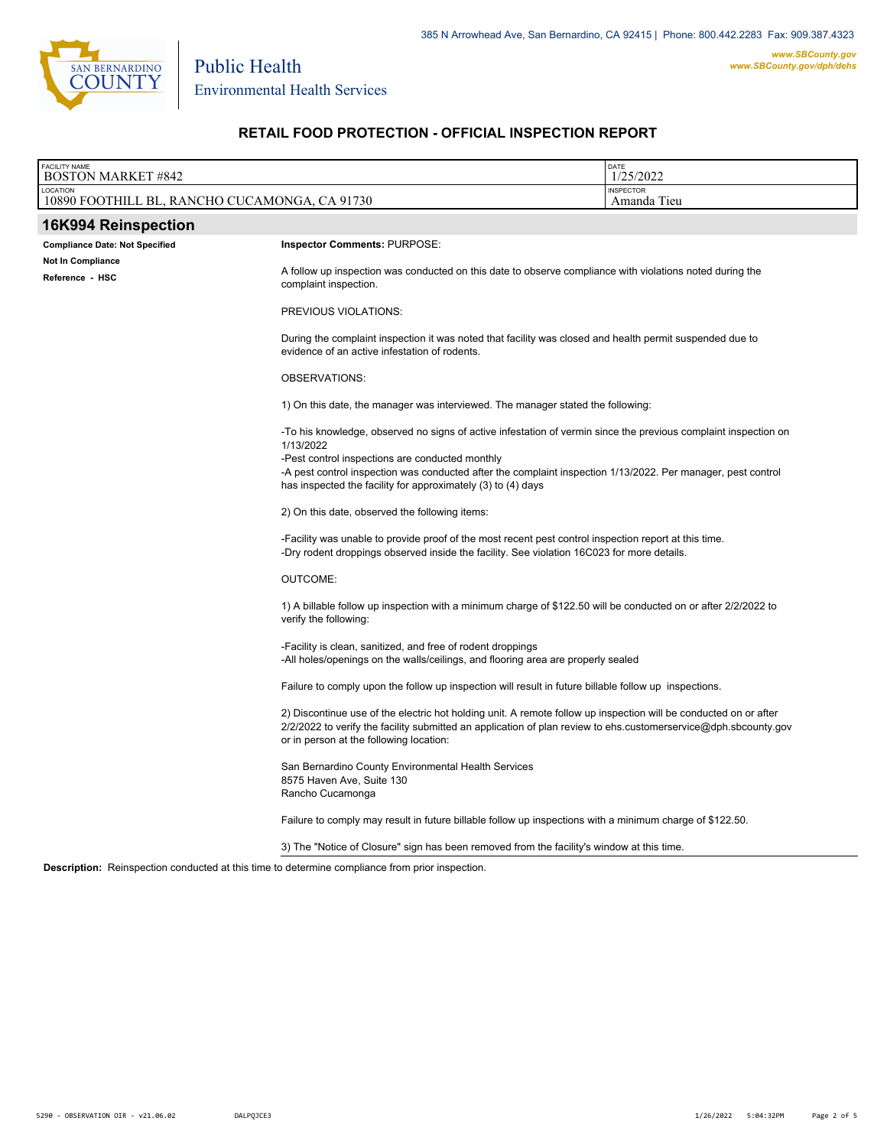

Environmental Health Services

Public Health

# **RETAIL FOOD PROTECTION - OFFICIAL INSPECTION REPORT**

| <b>FACILITY NAME</b><br><b>BOSTON MARKET #842</b>                                                        |                                                                                                                                                                                                                                                                                                                                                                 | DATE<br>1/25/2022 |
|----------------------------------------------------------------------------------------------------------|-----------------------------------------------------------------------------------------------------------------------------------------------------------------------------------------------------------------------------------------------------------------------------------------------------------------------------------------------------------------|-------------------|
| LOCATION<br>10890 FOOTHILL BL, RANCHO CUCAMONGA, CA 91730                                                | <b>INSPECTOR</b><br>Amanda Tieu                                                                                                                                                                                                                                                                                                                                 |                   |
| 16K994 Reinspection                                                                                      |                                                                                                                                                                                                                                                                                                                                                                 |                   |
| <b>Compliance Date: Not Specified</b>                                                                    | Inspector Comments: PURPOSE:                                                                                                                                                                                                                                                                                                                                    |                   |
| <b>Not In Compliance</b><br>Reference - HSC                                                              | A follow up inspection was conducted on this date to observe compliance with violations noted during the<br>complaint inspection.                                                                                                                                                                                                                               |                   |
|                                                                                                          | PREVIOUS VIOLATIONS:                                                                                                                                                                                                                                                                                                                                            |                   |
|                                                                                                          | During the complaint inspection it was noted that facility was closed and health permit suspended due to<br>evidence of an active infestation of rodents.                                                                                                                                                                                                       |                   |
| OBSERVATIONS:                                                                                            |                                                                                                                                                                                                                                                                                                                                                                 |                   |
|                                                                                                          | 1) On this date, the manager was interviewed. The manager stated the following:                                                                                                                                                                                                                                                                                 |                   |
|                                                                                                          | -To his knowledge, observed no signs of active infestation of vermin since the previous complaint inspection on<br>1/13/2022<br>-Pest control inspections are conducted monthly<br>-A pest control inspection was conducted after the complaint inspection 1/13/2022. Per manager, pest control<br>has inspected the facility for approximately (3) to (4) days |                   |
|                                                                                                          | 2) On this date, observed the following items:                                                                                                                                                                                                                                                                                                                  |                   |
|                                                                                                          | -Facility was unable to provide proof of the most recent pest control inspection report at this time.<br>-Dry rodent droppings observed inside the facility. See violation 16C023 for more details.                                                                                                                                                             |                   |
|                                                                                                          | <b>OUTCOME:</b>                                                                                                                                                                                                                                                                                                                                                 |                   |
|                                                                                                          | 1) A billable follow up inspection with a minimum charge of \$122.50 will be conducted on or after 2/2/2022 to<br>verify the following:                                                                                                                                                                                                                         |                   |
|                                                                                                          | -Facility is clean, sanitized, and free of rodent droppings<br>-All holes/openings on the walls/ceilings, and flooring area are properly sealed                                                                                                                                                                                                                 |                   |
|                                                                                                          | Failure to comply upon the follow up inspection will result in future billable follow up inspections.                                                                                                                                                                                                                                                           |                   |
|                                                                                                          | 2) Discontinue use of the electric hot holding unit. A remote follow up inspection will be conducted on or after<br>2/2/2022 to verify the facility submitted an application of plan review to ehs customerservice@dph.sbcounty.gov<br>or in person at the following location:                                                                                  |                   |
| San Bernardino County Environmental Health Services<br>8575 Haven Ave, Suite 130<br>Rancho Cucamonga     |                                                                                                                                                                                                                                                                                                                                                                 |                   |
| Failure to comply may result in future billable follow up inspections with a minimum charge of \$122.50. |                                                                                                                                                                                                                                                                                                                                                                 |                   |
|                                                                                                          | 3) The "Notice of Closure" sign has been removed from the facility's window at this time.                                                                                                                                                                                                                                                                       |                   |
| <b>Description:</b> Reinspection conducted at this time to determine compliance from prior inspection.   |                                                                                                                                                                                                                                                                                                                                                                 |                   |
|                                                                                                          |                                                                                                                                                                                                                                                                                                                                                                 |                   |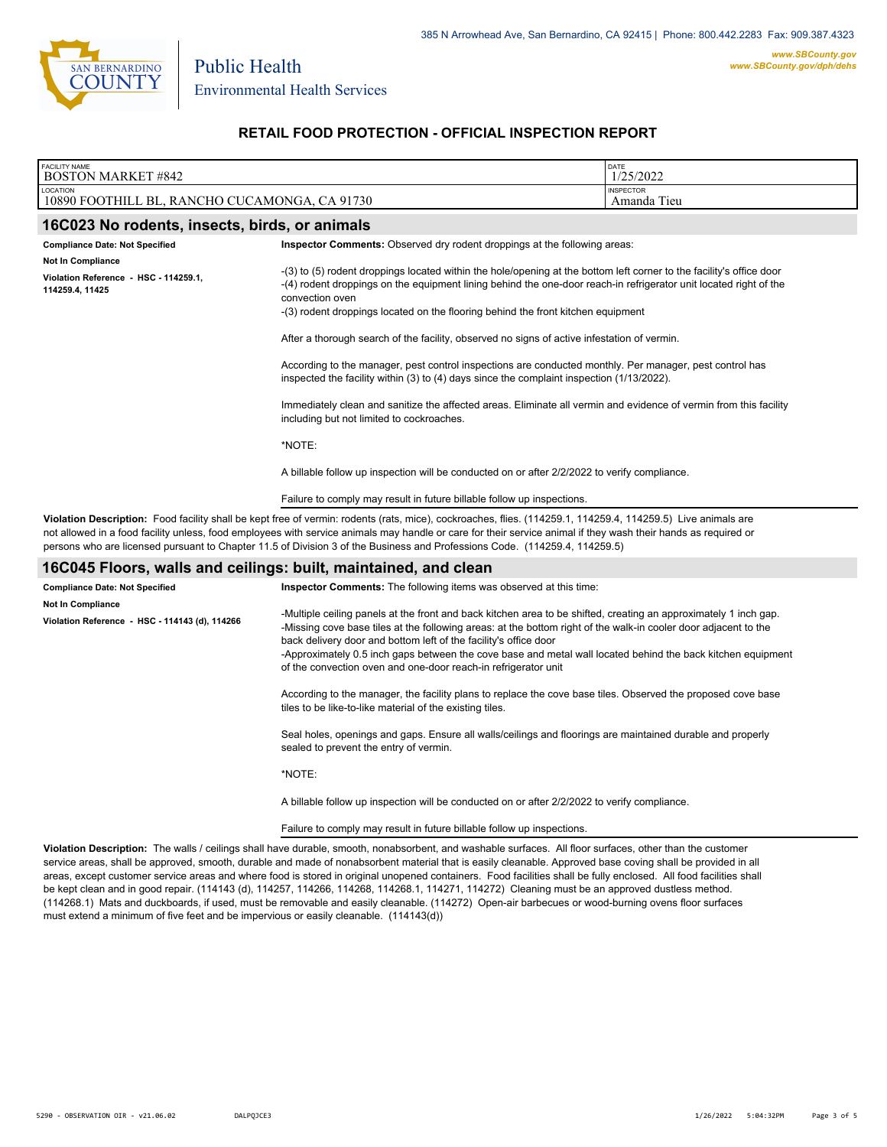

Public Health

# **RETAIL FOOD PROTECTION - OFFICIAL INSPECTION REPORT**

| <b>FACILITY NAME</b><br><b>BOSTON MARKET #842</b>                                                                                                                                                                                                                                                                                                                                                                                                            | DATE<br>1/25/2022                                                                                                                                                                                                                                                                                                                                                                                                                                                                            |  |  |  |
|--------------------------------------------------------------------------------------------------------------------------------------------------------------------------------------------------------------------------------------------------------------------------------------------------------------------------------------------------------------------------------------------------------------------------------------------------------------|----------------------------------------------------------------------------------------------------------------------------------------------------------------------------------------------------------------------------------------------------------------------------------------------------------------------------------------------------------------------------------------------------------------------------------------------------------------------------------------------|--|--|--|
| LOCATION<br>10890 FOOTHILL BL, RANCHO CUCAMONGA, CA 91730                                                                                                                                                                                                                                                                                                                                                                                                    | <b>INSPECTOR</b><br>Amanda Tieu                                                                                                                                                                                                                                                                                                                                                                                                                                                              |  |  |  |
| 16C023 No rodents, insects, birds, or animals                                                                                                                                                                                                                                                                                                                                                                                                                |                                                                                                                                                                                                                                                                                                                                                                                                                                                                                              |  |  |  |
| <b>Compliance Date: Not Specified</b><br>Not In Compliance                                                                                                                                                                                                                                                                                                                                                                                                   | Inspector Comments: Observed dry rodent droppings at the following areas:                                                                                                                                                                                                                                                                                                                                                                                                                    |  |  |  |
| Violation Reference - HSC - 114259.1,<br>114259.4, 11425                                                                                                                                                                                                                                                                                                                                                                                                     | -(3) to (5) rodent droppings located within the hole/opening at the bottom left corner to the facility's office door<br>-(4) rodent droppings on the equipment lining behind the one-door reach-in refrigerator unit located right of the<br>convection oven<br>-(3) rodent droppings located on the flooring behind the front kitchen equipment                                                                                                                                             |  |  |  |
|                                                                                                                                                                                                                                                                                                                                                                                                                                                              | After a thorough search of the facility, observed no signs of active infestation of vermin.                                                                                                                                                                                                                                                                                                                                                                                                  |  |  |  |
|                                                                                                                                                                                                                                                                                                                                                                                                                                                              | According to the manager, pest control inspections are conducted monthly. Per manager, pest control has<br>inspected the facility within (3) to (4) days since the complaint inspection (1/13/2022).                                                                                                                                                                                                                                                                                         |  |  |  |
|                                                                                                                                                                                                                                                                                                                                                                                                                                                              | Immediately clean and sanitize the affected areas. Eliminate all vermin and evidence of vermin from this facility<br>including but not limited to cockroaches.                                                                                                                                                                                                                                                                                                                               |  |  |  |
|                                                                                                                                                                                                                                                                                                                                                                                                                                                              | *NOTE:                                                                                                                                                                                                                                                                                                                                                                                                                                                                                       |  |  |  |
|                                                                                                                                                                                                                                                                                                                                                                                                                                                              | A billable follow up inspection will be conducted on or after 2/2/2022 to verify compliance.                                                                                                                                                                                                                                                                                                                                                                                                 |  |  |  |
|                                                                                                                                                                                                                                                                                                                                                                                                                                                              | Failure to comply may result in future billable follow up inspections.                                                                                                                                                                                                                                                                                                                                                                                                                       |  |  |  |
| Violation Description: Food facility shall be kept free of vermin: rodents (rats, mice), cockroaches, flies. (114259.1, 114259.4, 114259.5) Live animals are<br>not allowed in a food facility unless, food employees with service animals may handle or care for their service animal if they wash their hands as required or<br>persons who are licensed pursuant to Chapter 11.5 of Division 3 of the Business and Professions Code. (114259.4, 114259.5) |                                                                                                                                                                                                                                                                                                                                                                                                                                                                                              |  |  |  |
| 16C045 Floors, walls and ceilings: built, maintained, and clean                                                                                                                                                                                                                                                                                                                                                                                              |                                                                                                                                                                                                                                                                                                                                                                                                                                                                                              |  |  |  |
| <b>Compliance Date: Not Specified</b><br><b>Not In Compliance</b><br>Violation Reference - HSC - 114143 (d), 114266                                                                                                                                                                                                                                                                                                                                          | Inspector Comments: The following items was observed at this time:<br>-Multiple ceiling panels at the front and back kitchen area to be shifted, creating an approximately 1 inch gap.<br>-Missing cove base tiles at the following areas: at the bottom right of the walk-in cooler door adjacent to the<br>back delivery door and bottom left of the facility's office door<br>-Approximately 0.5 inch gaps between the cove base and metal wall located behind the back kitchen equipment |  |  |  |
|                                                                                                                                                                                                                                                                                                                                                                                                                                                              | of the convection oven and one-door reach-in refrigerator unit                                                                                                                                                                                                                                                                                                                                                                                                                               |  |  |  |

According to the manager, the facility plans to replace the cove base tiles. Observed the proposed cove base tiles to be like-to-like material of the existing tiles.

Seal holes, openings and gaps. Ensure all walls/ceilings and floorings are maintained durable and properly sealed to prevent the entry of vermin.

\*NOTE:

A billable follow up inspection will be conducted on or after 2/2/2022 to verify compliance.

Failure to comply may result in future billable follow up inspections.

**Violation Description:** The walls / ceilings shall have durable, smooth, nonabsorbent, and washable surfaces. All floor surfaces, other than the customer service areas, shall be approved, smooth, durable and made of nonabsorbent material that is easily cleanable. Approved base coving shall be provided in all areas, except customer service areas and where food is stored in original unopened containers. Food facilities shall be fully enclosed. All food facilities shall be kept clean and in good repair. (114143 (d), 114257, 114266, 114268, 114268.1, 114271, 114272) Cleaning must be an approved dustless method. (114268.1) Mats and duckboards, if used, must be removable and easily cleanable. (114272) Open-air barbecues or wood-burning ovens floor surfaces must extend a minimum of five feet and be impervious or easily cleanable. (114143(d))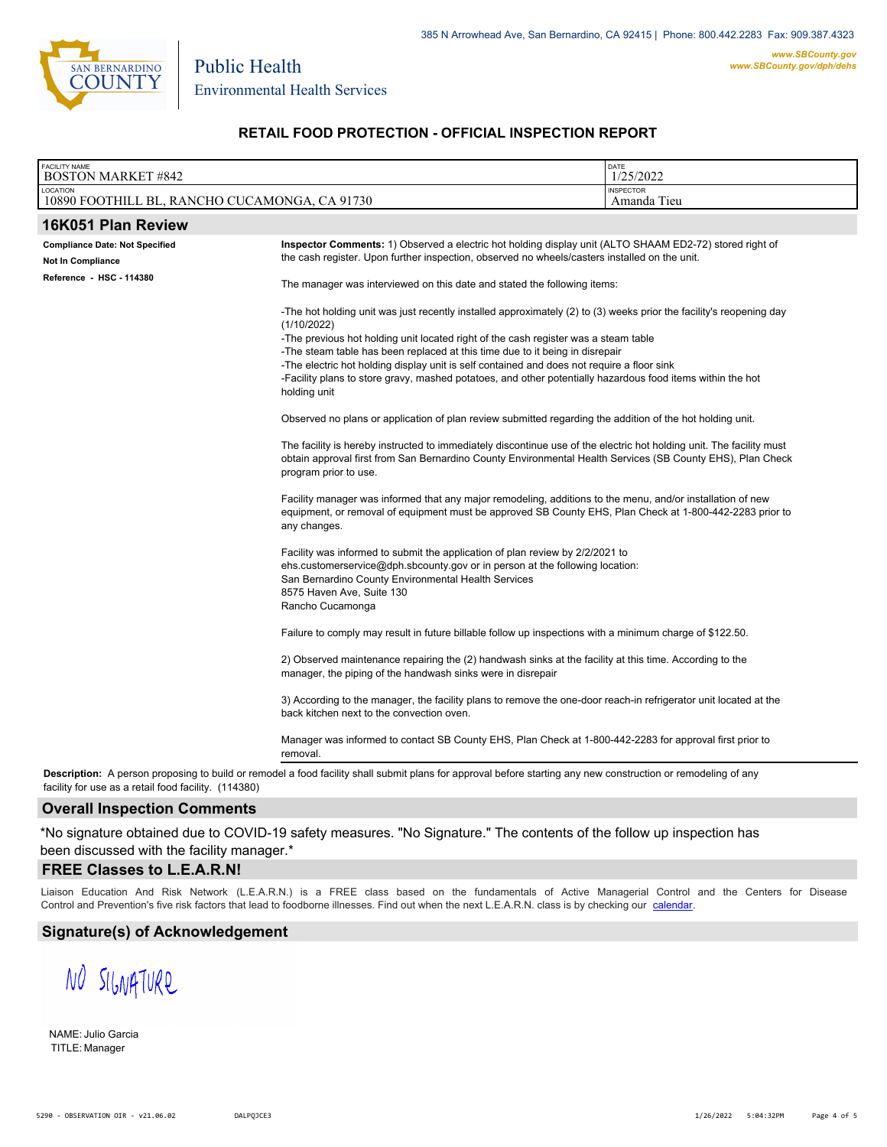

Public Health

# **RETAIL FOOD PROTECTION - OFFICIAL INSPECTION REPORT**

| <b>FACILITY NAME</b><br><b>BOSTON MARKET #842</b>         |                                                                                                                                                                                                                                                             | DATE<br>1/25/2022               |  |
|-----------------------------------------------------------|-------------------------------------------------------------------------------------------------------------------------------------------------------------------------------------------------------------------------------------------------------------|---------------------------------|--|
| LOCATION<br>10890 FOOTHILL BL, RANCHO CUCAMONGA, CA 91730 |                                                                                                                                                                                                                                                             | <b>INSPECTOR</b><br>Amanda Tieu |  |
| 16K051 Plan Review                                        |                                                                                                                                                                                                                                                             |                                 |  |
| <b>Compliance Date: Not Specified</b>                     | Inspector Comments: 1) Observed a electric hot holding display unit (ALTO SHAAM ED2-72) stored right of                                                                                                                                                     |                                 |  |
| Not In Compliance                                         | the cash register. Upon further inspection, observed no wheels/casters installed on the unit.                                                                                                                                                               |                                 |  |
| Reference - HSC - 114380                                  | The manager was interviewed on this date and stated the following items:                                                                                                                                                                                    |                                 |  |
|                                                           | -The hot holding unit was just recently installed approximately (2) to (3) weeks prior the facility's reopening day<br>(1/10/2022)                                                                                                                          |                                 |  |
|                                                           | -The previous hot holding unit located right of the cash register was a steam table                                                                                                                                                                         |                                 |  |
|                                                           | -The steam table has been replaced at this time due to it being in disrepair                                                                                                                                                                                |                                 |  |
|                                                           | -The electric hot holding display unit is self contained and does not require a floor sink<br>-Facility plans to store gravy, mashed potatoes, and other potentially hazardous food items within the hot<br>holding unit                                    |                                 |  |
|                                                           | Observed no plans or application of plan review submitted regarding the addition of the hot holding unit.                                                                                                                                                   |                                 |  |
|                                                           | The facility is hereby instructed to immediately discontinue use of the electric hot holding unit. The facility must<br>obtain approval first from San Bernardino County Environmental Health Services (SB County EHS), Plan Check<br>program prior to use. |                                 |  |
|                                                           | Facility manager was informed that any major remodeling, additions to the menu, and/or installation of new<br>equipment, or removal of equipment must be approved SB County EHS, Plan Check at 1-800-442-2283 prior to<br>any changes.                      |                                 |  |
|                                                           | Facility was informed to submit the application of plan review by 2/2/2021 to                                                                                                                                                                               |                                 |  |
|                                                           | ehs.customerservice@dph.sbcounty.gov or in person at the following location:                                                                                                                                                                                |                                 |  |
|                                                           | San Bernardino County Environmental Health Services<br>8575 Haven Ave, Suite 130                                                                                                                                                                            |                                 |  |
|                                                           | Rancho Cucamonga                                                                                                                                                                                                                                            |                                 |  |
|                                                           | Failure to comply may result in future billable follow up inspections with a minimum charge of \$122.50.                                                                                                                                                    |                                 |  |
|                                                           | 2) Observed maintenance repairing the (2) handwash sinks at the facility at this time. According to the<br>manager, the piping of the handwash sinks were in disrepair                                                                                      |                                 |  |
|                                                           | 3) According to the manager, the facility plans to remove the one-door reach-in refrigerator unit located at the<br>back kitchen next to the convection oven.                                                                                               |                                 |  |
|                                                           | Manager was informed to contact SB County EHS, Plan Check at 1-800-442-2283 for approval first prior to<br>removal.                                                                                                                                         |                                 |  |
| facility for use as a retail food facility. (114380)      | Description: A person proposing to build or remodel a food facility shall submit plans for approval before starting any new construction or remodeling of any                                                                                               |                                 |  |

### **Overall Inspection Comments**

\*No signature obtained due to COVID-19 safety measures. "No Signature." The contents of the follow up inspection has been discussed with the facility manager.\*

### **FREE Classes to L.E.A.R.N!**

Liaison Education And Risk Network (L.E.A.R.N.) is a FREE class based on the fundamentals of Active Managerial Control and [the Centers](http://wp.sbcounty.gov/dph/events/) for Disease Control and Prevention's five risk factors that lead to foodborne illnesses. Find out when the next L.E.A.R.N. class is by checking our calendar.

#### **Signature(s) of Acknowledgement**

NO SIGNATURE

NAME: Julio Garcia TITLE: Manager